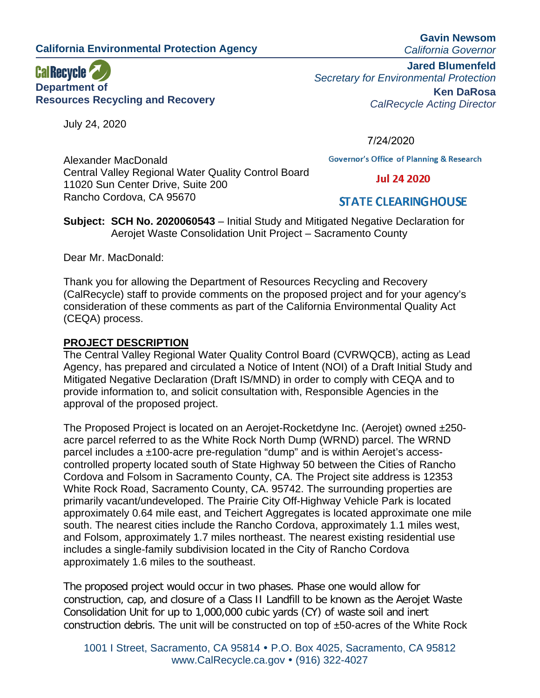**California Environmental Protection Agency**

11020 Sun Center Drive, Suite 200

Rancho Cordova, CA 95670

Central Valley Regional Water Quality Control Board



July 24, 2020

**Gavin Newsom** *California Governor*

**Jared Blumenfeld** *Secretary for Environmental Protection* **Ken DaRosa** *CalRecycle Acting Director*

7/24/2020

**Governor's Office of Planning & Research** 

**Jul 24 2020** 

# **STATE CLEARING HOUSE**

**Subject: SCH No. 2020060543** – Initial Study and Mitigated Negative Declaration for Aerojet Waste Consolidation Unit Project – Sacramento County

Dear Mr. MacDonald:

Alexander MacDonald

Thank you for allowing the Department of Resources Recycling and Recovery (CalRecycle) staff to provide comments on the proposed project and for your agency's consideration of these comments as part of the California Environmental Quality Act (CEQA) process.

#### **PROJECT DESCRIPTION**

The Central Valley Regional Water Quality Control Board (CVRWQCB), acting as Lead Agency, has prepared and circulated a Notice of Intent (NOI) of a Draft Initial Study and Mitigated Negative Declaration (Draft IS/MND) in order to comply with CEQA and to provide information to, and solicit consultation with, Responsible Agencies in the approval of the proposed project.

The Proposed Project is located on an Aerojet-Rocketdyne Inc. (Aerojet) owned ±250 acre parcel referred to as the White Rock North Dump (WRND) parcel. The WRND parcel includes a ±100-acre pre-regulation "dump" and is within Aerojet's accesscontrolled property located south of State Highway 50 between the Cities of Rancho Cordova and Folsom in Sacramento County, CA. The Project site address is 12353 White Rock Road, Sacramento County, CA. 95742. The surrounding properties are primarily vacant/undeveloped. The Prairie City Off-Highway Vehicle Park is located approximately 0.64 mile east, and Teichert Aggregates is located approximate one mile south. The nearest cities include the Rancho Cordova, approximately 1.1 miles west, and Folsom, approximately 1.7 miles northeast. The nearest existing residential use includes a single-family subdivision located in the City of Rancho Cordova approximately 1.6 miles to the southeast.

The proposed project would occur in two phases. Phase one would allow for construction, cap, and closure of a Class II Landfill to be known as the Aerojet Waste Consolidation Unit for up to 1,000,000 cubic yards (CY) of waste soil and inert construction debris. The unit will be constructed on top of ±50-acres of the White Rock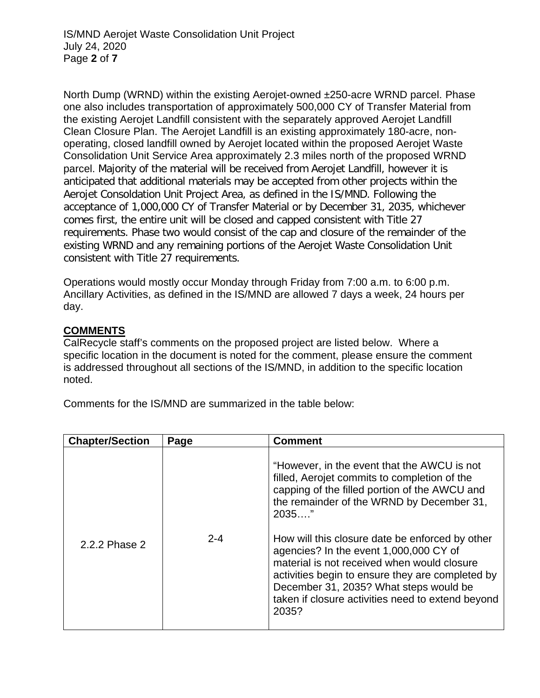North Dump (WRND) within the existing Aerojet-owned ±250-acre WRND parcel. Phase one also includes transportation of approximately 500,000 CY of Transfer Material from the existing Aerojet Landfill consistent with the separately approved Aerojet Landfill Clean Closure Plan. The Aerojet Landfill is an existing approximately 180-acre, nonoperating, closed landfill owned by Aerojet located within the proposed Aerojet Waste Consolidation Unit Service Area approximately 2.3 miles north of the proposed WRND parcel. Majority of the material will be received from Aerojet Landfill, however it is anticipated that additional materials may be accepted from other projects within the Aerojet Consoldation Unit Project Area, as defined in the IS/MND. Following the acceptance of 1,000,000 CY of Transfer Material or by December 31, 2035, whichever comes first, the entire unit will be closed and capped consistent with Title 27 requirements. Phase two would consist of the cap and closure of the remainder of the existing WRND and any remaining portions of the Aerojet Waste Consolidation Unit consistent with Title 27 requirements.

Operations would mostly occur Monday through Friday from 7:00 a.m. to 6:00 p.m. Ancillary Activities, as defined in the IS/MND are allowed 7 days a week, 24 hours per day.

## **COMMENTS**

CalRecycle staff's comments on the proposed project are listed below. Where a specific location in the document is noted for the comment, please ensure the comment is addressed throughout all sections of the IS/MND, in addition to the specific location noted.

Comments for the IS/MND are summarized in the table below:

| <b>Chapter/Section</b> | Page    | <b>Comment</b>                                                                                                                                                                                                                                                                                                                                                                                                                                                                                                |
|------------------------|---------|---------------------------------------------------------------------------------------------------------------------------------------------------------------------------------------------------------------------------------------------------------------------------------------------------------------------------------------------------------------------------------------------------------------------------------------------------------------------------------------------------------------|
| 2.2.2 Phase 2          | $2 - 4$ | "However, in the event that the AWCU is not<br>filled, Aerojet commits to completion of the<br>capping of the filled portion of the AWCU and<br>the remainder of the WRND by December 31,<br>$2035$ "<br>How will this closure date be enforced by other<br>agencies? In the event 1,000,000 CY of<br>material is not received when would closure<br>activities begin to ensure they are completed by<br>December 31, 2035? What steps would be<br>taken if closure activities need to extend beyond<br>2035? |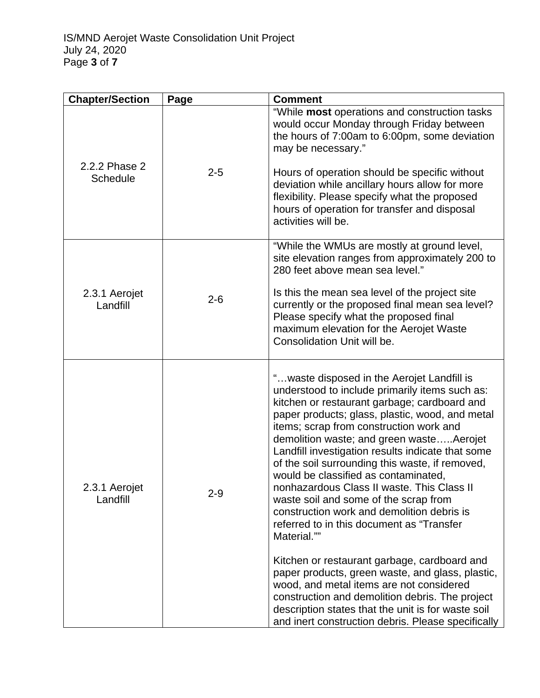| <b>Chapter/Section</b>           | Page    | <b>Comment</b>                                                                                                                                                                                                                                                                                                                                                                                                                                                                                                                                                                                                                                                                                                                                                                                                                                                                                                                                          |
|----------------------------------|---------|---------------------------------------------------------------------------------------------------------------------------------------------------------------------------------------------------------------------------------------------------------------------------------------------------------------------------------------------------------------------------------------------------------------------------------------------------------------------------------------------------------------------------------------------------------------------------------------------------------------------------------------------------------------------------------------------------------------------------------------------------------------------------------------------------------------------------------------------------------------------------------------------------------------------------------------------------------|
| 2.2.2 Phase 2<br><b>Schedule</b> | $2 - 5$ | "While most operations and construction tasks<br>would occur Monday through Friday between<br>the hours of 7:00am to 6:00pm, some deviation<br>may be necessary."<br>Hours of operation should be specific without<br>deviation while ancillary hours allow for more<br>flexibility. Please specify what the proposed<br>hours of operation for transfer and disposal<br>activities will be.                                                                                                                                                                                                                                                                                                                                                                                                                                                                                                                                                            |
| 2.3.1 Aerojet<br>Landfill        | $2 - 6$ | "While the WMUs are mostly at ground level,<br>site elevation ranges from approximately 200 to<br>280 feet above mean sea level."<br>Is this the mean sea level of the project site<br>currently or the proposed final mean sea level?<br>Please specify what the proposed final<br>maximum elevation for the Aerojet Waste<br>Consolidation Unit will be.                                                                                                                                                                                                                                                                                                                                                                                                                                                                                                                                                                                              |
| 2.3.1 Aerojet<br>Landfill        | $2 - 9$ | " waste disposed in the Aerojet Landfill is<br>understood to include primarily items such as:<br>kitchen or restaurant garbage; cardboard and<br>paper products; glass, plastic, wood, and metal<br>items; scrap from construction work and<br>demolition waste; and green wasteAerojet<br>Landfill investigation results indicate that some<br>of the soil surrounding this waste, if removed,<br>would be classified as contaminated,<br>nonhazardous Class II waste. This Class II<br>waste soil and some of the scrap from<br>construction work and demolition debris is<br>referred to in this document as "Transfer<br>Material.""<br>Kitchen or restaurant garbage, cardboard and<br>paper products, green waste, and glass, plastic,<br>wood, and metal items are not considered<br>construction and demolition debris. The project<br>description states that the unit is for waste soil<br>and inert construction debris. Please specifically |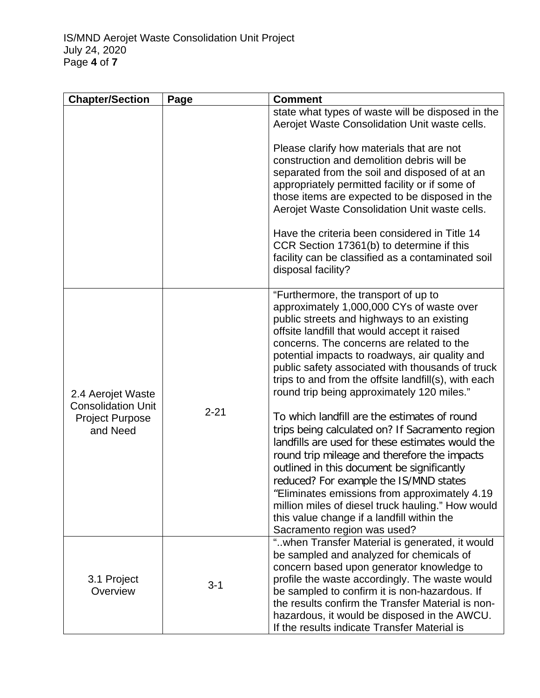| <b>Chapter/Section</b>                                                               | Page     | <b>Comment</b>                                                                                                                                                                                                                                                                                                                                                                                                                                                                                                                                                                                                                                                                                                                                                                                                                                                                                                              |
|--------------------------------------------------------------------------------------|----------|-----------------------------------------------------------------------------------------------------------------------------------------------------------------------------------------------------------------------------------------------------------------------------------------------------------------------------------------------------------------------------------------------------------------------------------------------------------------------------------------------------------------------------------------------------------------------------------------------------------------------------------------------------------------------------------------------------------------------------------------------------------------------------------------------------------------------------------------------------------------------------------------------------------------------------|
|                                                                                      |          | state what types of waste will be disposed in the<br>Aerojet Waste Consolidation Unit waste cells.                                                                                                                                                                                                                                                                                                                                                                                                                                                                                                                                                                                                                                                                                                                                                                                                                          |
|                                                                                      |          | Please clarify how materials that are not<br>construction and demolition debris will be<br>separated from the soil and disposed of at an<br>appropriately permitted facility or if some of<br>those items are expected to be disposed in the<br>Aerojet Waste Consolidation Unit waste cells.<br>Have the criteria been considered in Title 14<br>CCR Section 17361(b) to determine if this<br>facility can be classified as a contaminated soil<br>disposal facility?                                                                                                                                                                                                                                                                                                                                                                                                                                                      |
| 2.4 Aerojet Waste<br><b>Consolidation Unit</b><br><b>Project Purpose</b><br>and Need | $2 - 21$ | "Furthermore, the transport of up to<br>approximately 1,000,000 CYs of waste over<br>public streets and highways to an existing<br>offsite landfill that would accept it raised<br>concerns. The concerns are related to the<br>potential impacts to roadways, air quality and<br>public safety associated with thousands of truck<br>trips to and from the offsite landfill(s), with each<br>round trip being approximately 120 miles."<br>To which landfill are the estimates of round<br>trips being calculated on? If Sacramento region<br>landfills are used for these estimates would the<br>round trip mileage and therefore the impacts<br>outlined in this document be significantly<br>reduced? For example the IS/MND states<br>"Eliminates emissions from approximately 4.19"<br>million miles of diesel truck hauling." How would<br>this value change if a landfill within the<br>Sacramento region was used? |
| 3.1 Project<br>Overview                                                              | $3 - 1$  | "when Transfer Material is generated, it would<br>be sampled and analyzed for chemicals of<br>concern based upon generator knowledge to<br>profile the waste accordingly. The waste would<br>be sampled to confirm it is non-hazardous. If<br>the results confirm the Transfer Material is non-<br>hazardous, it would be disposed in the AWCU.<br>If the results indicate Transfer Material is                                                                                                                                                                                                                                                                                                                                                                                                                                                                                                                             |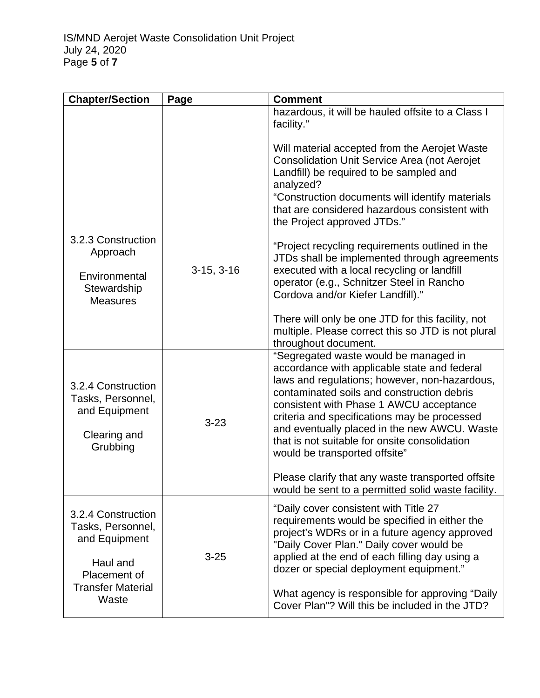| <b>Chapter/Section</b>                                                                                                    | Page         | <b>Comment</b>                                                                                                                                                                                                                                                                                                                                                                                                    |
|---------------------------------------------------------------------------------------------------------------------------|--------------|-------------------------------------------------------------------------------------------------------------------------------------------------------------------------------------------------------------------------------------------------------------------------------------------------------------------------------------------------------------------------------------------------------------------|
|                                                                                                                           |              | hazardous, it will be hauled offsite to a Class I<br>facility."                                                                                                                                                                                                                                                                                                                                                   |
|                                                                                                                           |              | Will material accepted from the Aerojet Waste<br>Consolidation Unit Service Area (not Aerojet<br>Landfill) be required to be sampled and<br>analyzed?                                                                                                                                                                                                                                                             |
|                                                                                                                           |              | "Construction documents will identify materials<br>that are considered hazardous consistent with<br>the Project approved JTDs."                                                                                                                                                                                                                                                                                   |
| 3.2.3 Construction<br>Approach<br>Environmental<br>Stewardship<br><b>Measures</b>                                         | $3-15, 3-16$ | "Project recycling requirements outlined in the<br>JTDs shall be implemented through agreements<br>executed with a local recycling or landfill<br>operator (e.g., Schnitzer Steel in Rancho<br>Cordova and/or Kiefer Landfill)."                                                                                                                                                                                  |
|                                                                                                                           |              | There will only be one JTD for this facility, not<br>multiple. Please correct this so JTD is not plural<br>throughout document.                                                                                                                                                                                                                                                                                   |
| 3.2.4 Construction<br>Tasks, Personnel,<br>and Equipment<br>Clearing and<br>Grubbing                                      | $3 - 23$     | "Segregated waste would be managed in<br>accordance with applicable state and federal<br>laws and regulations; however, non-hazardous,<br>contaminated soils and construction debris<br>consistent with Phase 1 AWCU acceptance<br>criteria and specifications may be processed<br>and eventually placed in the new AWCU. Waste<br>that is not suitable for onsite consolidation<br>would be transported offsite" |
|                                                                                                                           |              | Please clarify that any waste transported offsite<br>would be sent to a permitted solid waste facility.                                                                                                                                                                                                                                                                                                           |
| 3.2.4 Construction<br>Tasks, Personnel,<br>and Equipment<br>Haul and<br>Placement of<br><b>Transfer Material</b><br>Waste | $3 - 25$     | "Daily cover consistent with Title 27<br>requirements would be specified in either the<br>project's WDRs or in a future agency approved<br>"Daily Cover Plan." Daily cover would be<br>applied at the end of each filling day using a<br>dozer or special deployment equipment."                                                                                                                                  |
|                                                                                                                           |              | What agency is responsible for approving "Daily"<br>Cover Plan"? Will this be included in the JTD?                                                                                                                                                                                                                                                                                                                |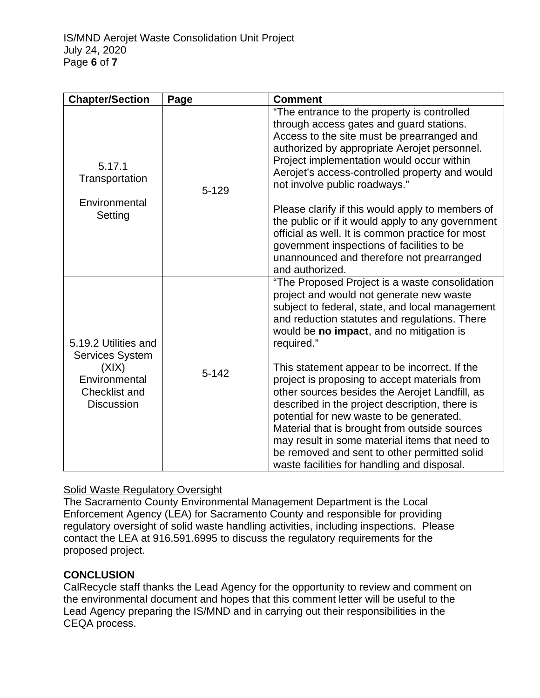| <b>Chapter/Section</b>                                                                                  | Page      | <b>Comment</b>                                                                                                                                                                                                                                                                                                                                                                                                                                   |
|---------------------------------------------------------------------------------------------------------|-----------|--------------------------------------------------------------------------------------------------------------------------------------------------------------------------------------------------------------------------------------------------------------------------------------------------------------------------------------------------------------------------------------------------------------------------------------------------|
| 5.17.1<br>Transportation                                                                                | $5 - 129$ | "The entrance to the property is controlled<br>through access gates and guard stations.<br>Access to the site must be prearranged and<br>authorized by appropriate Aerojet personnel.<br>Project implementation would occur within<br>Aerojet's access-controlled property and would<br>not involve public roadways."                                                                                                                            |
| Environmental<br>Setting                                                                                |           | Please clarify if this would apply to members of<br>the public or if it would apply to any government<br>official as well. It is common practice for most<br>government inspections of facilities to be<br>unannounced and therefore not prearranged<br>and authorized.                                                                                                                                                                          |
| 5.19.2 Utilities and<br>Services System<br>(X X)<br>Environmental<br>Checklist and<br><b>Discussion</b> | $5 - 142$ | "The Proposed Project is a waste consolidation<br>project and would not generate new waste<br>subject to federal, state, and local management<br>and reduction statutes and regulations. There<br>would be no impact, and no mitigation is<br>required."                                                                                                                                                                                         |
|                                                                                                         |           | This statement appear to be incorrect. If the<br>project is proposing to accept materials from<br>other sources besides the Aerojet Landfill, as<br>described in the project description, there is<br>potential for new waste to be generated.<br>Material that is brought from outside sources<br>may result in some material items that need to<br>be removed and sent to other permitted solid<br>waste facilities for handling and disposal. |

## **Solid Waste Regulatory Oversight**

The Sacramento County Environmental Management Department is the Local Enforcement Agency (LEA) for Sacramento County and responsible for providing regulatory oversight of solid waste handling activities, including inspections. Please contact the LEA at 916.591.6995 to discuss the regulatory requirements for the proposed project.

## **CONCLUSION**

CalRecycle staff thanks the Lead Agency for the opportunity to review and comment on the environmental document and hopes that this comment letter will be useful to the Lead Agency preparing the IS/MND and in carrying out their responsibilities in the CEQA process.